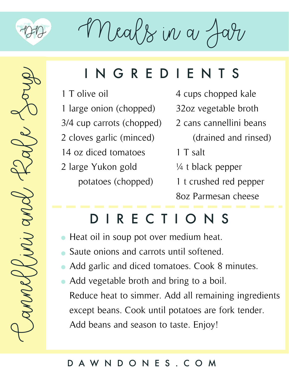

 $M$ eals in a

### **NGREDIENTS**

- 1 T olive oil
- 1 large onion (chopped)
- 3/4 cup carrots (chopped)
- 2 cloves garlic (minced)
- 14 oz diced tomatoes
- 2 large Yukon gold potatoes (chopped)
- 4 cups chopped kale
- 32oz vegetable broth
- 2 cans cannellini beans
	- (drained and rinsed)
	- 1 T salt
	- ¼ t black pepper
	- 1 t crushed red pepper

8oz Parmesan cheese

# DIRECTIONS

- Heat oil in soup pot over medium heat.
- Saute onions and carrots until softened.
- Add garlic and diced tomatoes. Cook 8 minutes.
- Add vegetable broth and bring to a boil. Reduce heat to simmer. Add all remaining ingredients except beans. Cook until potatoes are fork tender. Add beans and season to taste. Enjoy!

#### DAWNDONES.COM